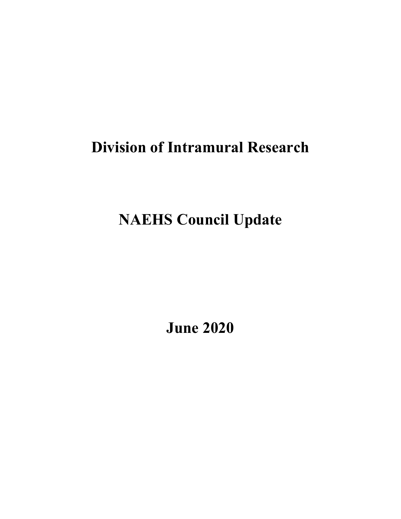# **Division of Intramural Research**

# **NAEHS Council Update**

**June 2020**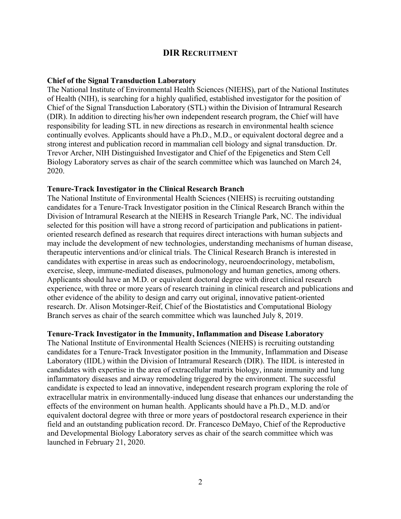## **DIR RECRUITMENT**

#### **Chief of the Signal Transduction Laboratory**

The National Institute of Environmental Health Sciences (NIEHS), part of the National Institutes of Health (NIH), is searching for a highly qualified, established investigator for the position of Chief of the Signal Transduction Laboratory (STL) within the Division of Intramural Research (DIR). In addition to directing his/her own independent research program, the Chief will have responsibility for leading STL in new directions as research in environmental health science continually evolves. Applicants should have a Ph.D., M.D., or equivalent doctoral degree and a strong interest and publication record in mammalian cell biology and signal transduction. Dr. Trevor Archer, NIH Distinguished Investigator and Chief of the Epigenetics and Stem Cell Biology Laboratory serves as chair of the search committee which was launched on March 24, 2020.

#### **Tenure-Track Investigator in the Clinical Research Branch**

The National Institute of Environmental Health Sciences (NIEHS) is recruiting outstanding candidates for a Tenure-Track Investigator position in the Clinical Research Branch within the Division of Intramural Research at the NIEHS in Research Triangle Park, NC. The individual selected for this position will have a strong record of participation and publications in patientoriented research defined as research that requires direct interactions with human subjects and may include the development of new technologies, understanding mechanisms of human disease, therapeutic interventions and/or clinical trials. The Clinical Research Branch is interested in candidates with expertise in areas such as endocrinology, neuroendocrinology, metabolism, exercise, sleep, immune-mediated diseases, pulmonology and human genetics, among others. Applicants should have an M.D. or equivalent doctoral degree with direct clinical research experience, with three or more years of research training in clinical research and publications and other evidence of the ability to design and carry out original, innovative patient-oriented research. Dr. Alison Motsinger-Reif, Chief of the Biostatistics and Computational Biology Branch serves as chair of the search committee which was launched July 8, 2019.

#### **Tenure-Track Investigator in the Immunity, Inflammation and Disease Laboratory**

The National Institute of Environmental Health Sciences (NIEHS) is recruiting outstanding candidates for a Tenure-Track Investigator position in the Immunity, Inflammation and Disease Laboratory (IIDL) within the Division of Intramural Research (DIR). The IIDL is interested in candidates with expertise in the area of extracellular matrix biology, innate immunity and lung inflammatory diseases and airway remodeling triggered by the environment. The successful candidate is expected to lead an innovative, independent research program exploring the role of extracellular matrix in environmentally-induced lung disease that enhances our understanding the effects of the environment on human health. Applicants should have a Ph.D., M.D. and/or equivalent doctoral degree with three or more years of postdoctoral research experience in their field and an outstanding publication record. Dr. Francesco DeMayo, Chief of the Reproductive and Developmental Biology Laboratory serves as chair of the search committee which was launched in February 21, 2020.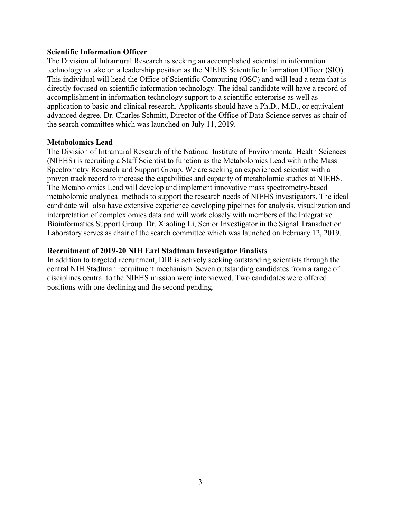# **Scientific Information Officer**

The Division of Intramural Research is seeking an accomplished scientist in information technology to take on a leadership position as the NIEHS Scientific Information Officer (SIO). This individual will head the Office of Scientific Computing (OSC) and will lead a team that is directly focused on scientific information technology. The ideal candidate will have a record of accomplishment in information technology support to a scientific enterprise as well as application to basic and clinical research. Applicants should have a Ph.D., M.D., or equivalent advanced degree. Dr. Charles Schmitt, Director of the Office of Data Science serves as chair of the search committee which was launched on July 11, 2019.

## **Metabolomics Lead**

The Division of Intramural Research of the National Institute of Environmental Health Sciences (NIEHS) is recruiting a Staff Scientist to function as the Metabolomics Lead within the Mass Spectrometry Research and Support Group. We are seeking an experienced scientist with a proven track record to increase the capabilities and capacity of metabolomic studies at NIEHS. The Metabolomics Lead will develop and implement innovative mass spectrometry-based metabolomic analytical methods to support the research needs of NIEHS investigators. The ideal candidate will also have extensive experience developing pipelines for analysis, visualization and interpretation of complex omics data and will work closely with members of the Integrative Bioinformatics Support Group. Dr. Xiaoling Li, Senior Investigator in the Signal Transduction Laboratory serves as chair of the search committee which was launched on February 12, 2019.

# **Recruitment of 2019-20 NIH Earl Stadtman Investigator Finalists**

In addition to targeted recruitment, DIR is actively seeking outstanding scientists through the central NIH Stadtman recruitment mechanism. Seven outstanding candidates from a range of disciplines central to the NIEHS mission were interviewed. Two candidates were offered positions with one declining and the second pending.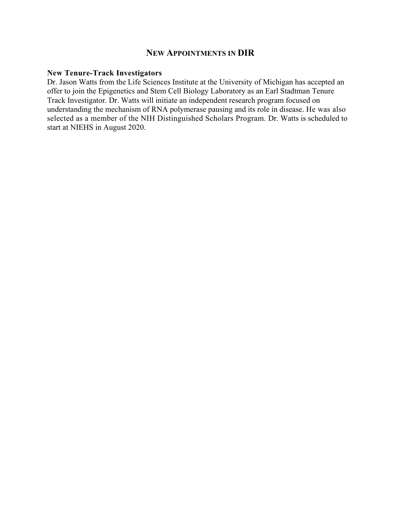# **NEW APPOINTMENTS IN DIR**

### **New Tenure-Track Investigators**

Dr. Jason Watts from the Life Sciences Institute at the University of Michigan has accepted an offer to join the Epigenetics and Stem Cell Biology Laboratory as an Earl Stadtman Tenure Track Investigator. Dr. Watts will initiate an independent research program focused on understanding the mechanism of RNA polymerase pausing and its role in disease. He was also selected as a member of the NIH Distinguished Scholars Program. Dr. Watts is scheduled to start at NIEHS in August 2020.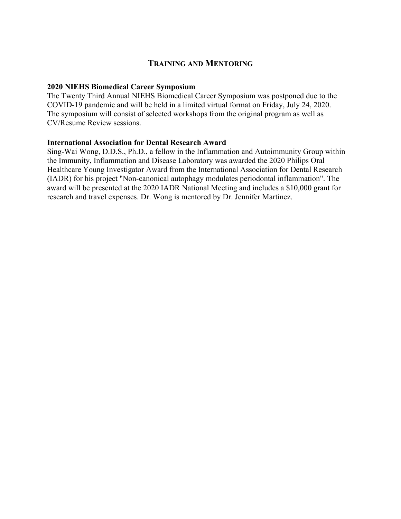# **TRAINING AND MENTORING**

# **2020 NIEHS Biomedical Career Symposium**

The Twenty Third Annual NIEHS Biomedical Career Symposium was postponed due to the COVID-19 pandemic and will be held in a limited virtual format on Friday, July 24, 2020. The symposium will consist of selected workshops from the original program as well as CV/Resume Review sessions.

## **International Association for Dental Research Award**

Sing-Wai Wong, D.D.S., Ph.D., a fellow in the Inflammation and Autoimmunity Group within the Immunity, Inflammation and Disease Laboratory was awarded the 2020 Philips Oral Healthcare Young Investigator Award from the International Association for Dental Research (IADR) for his project "Non-canonical autophagy modulates periodontal inflammation". The award will be presented at the 2020 IADR National Meeting and includes a \$10,000 grant for research and travel expenses. Dr. Wong is mentored by Dr. Jennifer Martinez.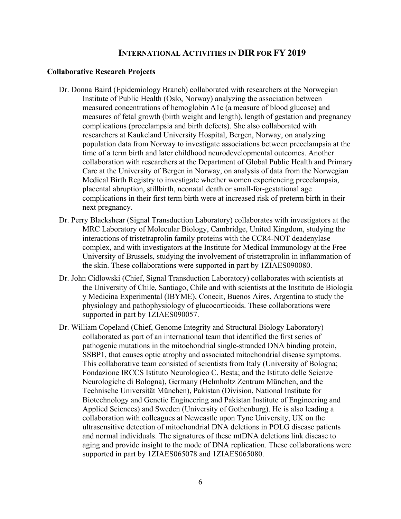# **INTERNATIONAL ACTIVITIES IN DIR FOR FY 2019**

#### **Collaborative Research Projects**

- Dr. Donna Baird (Epidemiology Branch) collaborated with researchers at the Norwegian Institute of Public Health (Oslo, Norway) analyzing the association between measured concentrations of hemoglobin A1c (a measure of blood glucose) and measures of fetal growth (birth weight and length), length of gestation and pregnancy complications (preeclampsia and birth defects). She also collaborated with researchers at Kaukeland University Hospital, Bergen, Norway, on analyzing population data from Norway to investigate associations between preeclampsia at the time of a term birth and later childhood neurodevelopmental outcomes. Another collaboration with researchers at the Department of Global Public Health and Primary Care at the University of Bergen in Norway, on analysis of data from the Norwegian Medical Birth Registry to investigate whether women experiencing preeclampsia, placental abruption, stillbirth, neonatal death or small-for-gestational age complications in their first term birth were at increased risk of preterm birth in their next pregnancy.
- Dr. Perry Blackshear (Signal Transduction Laboratory) collaborates with investigators at the MRC Laboratory of Molecular Biology, Cambridge, United Kingdom, studying the interactions of tristetraprolin family proteins with the CCR4-NOT deadenylase complex, and with investigators at the Institute for Medical Immunology at the Free University of Brussels, studying the involvement of tristetraprolin in inflammation of the skin. These collaborations were supported in part by 1ZIAES090080.
- Dr. John Cidlowski (Chief, Signal Transduction Laboratory) collaborates with scientists at the University of Chile, Santiago, Chile and with scientists at the Instituto de Biología y Medicina Experimental (IBYME), Conecit, Buenos Aires, Argentina to study the physiology and pathophysiology of glucocorticoids. These collaborations were supported in part by 1ZIAES090057.
- Dr. William Copeland (Chief, Genome Integrity and Structural Biology Laboratory) collaborated as part of an international team that identified the first series of pathogenic mutations in the mitochondrial single-stranded DNA binding protein, SSBP1, that causes optic atrophy and associated mitochondrial disease symptoms. This collaborative team consisted of scientists from Italy (University of Bologna; Fondazione IRCCS Istituto Neurologico C. Besta; and the Istituto delle Scienze Neurologiche di Bologna), Germany (Helmholtz Zentrum München, and the Technische Universität München), Pakistan (Division, National Institute for Biotechnology and Genetic Engineering and Pakistan Institute of Engineering and Applied Sciences) and Sweden (University of Gothenburg). He is also leading a collaboration with colleagues at Newcastle upon Tyne University, UK on the ultrasensitive detection of mitochondrial DNA deletions in POLG disease patients and normal individuals. The signatures of these mtDNA deletions link disease to aging and provide insight to the mode of DNA replication. These collaborations were supported in part by 1ZIAES065078 and 1ZIAES065080.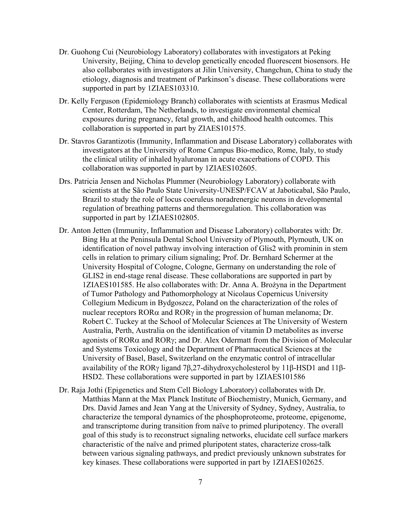- Dr. Guohong Cui (Neurobiology Laboratory) collaborates with investigators at Peking University, Beijing, China to develop genetically encoded fluorescent biosensors. He also collaborates with investigators at Jilin University, Changchun, China to study the etiology, diagnosis and treatment of Parkinson's disease. These collaborations were supported in part by 1ZIAES103310.
- Dr. Kelly Ferguson (Epidemiology Branch) collaborates with scientists at Erasmus Medical Center, Rotterdam, The Netherlands, to investigate environmental chemical exposures during pregnancy, fetal growth, and childhood health outcomes. This collaboration is supported in part by ZIAES101575.
- Dr. Stavros Garantizotis (Immunity, Inflammation and Disease Laboratory) collaborates with investigators at the University of Rome Campus Bio-medico, Rome, Italy, to study the clinical utility of inhaled hyaluronan in acute exacerbations of COPD. This collaboration was supported in part by 1ZIAES102605.
- Drs. Patricia Jensen and Nicholas Plummer (Neurobiology Laboratory) collaborate with scientists at the São Paulo State University-UNESP/FCAV at Jaboticabal, São Paulo, Brazil to study the role of locus coeruleus noradrenergic neurons in developmental regulation of breathing patterns and thermoregulation. This collaboration was supported in part by 1ZIAES102805.
- Dr. Anton Jetten (Immunity, Inflammation and Disease Laboratory) collaborates with: Dr. Bing Hu at the Peninsula Dental School University of Plymouth, Plymouth, UK on identification of novel pathway involving interaction of Glis2 with prominin in stem cells in relation to primary cilium signaling; Prof. Dr. Bernhard Schermer at the University Hospital of Cologne, Cologne, Germany on understanding the role of GLIS2 in end-stage renal disease. These collaborations are supported in part by 1ZIAES101585. He also collaborates with: Dr. Anna A. Brożyna in the Department of Tumor Pathology and Pathomorphology at Nicolaus Copernicus University Collegium Medicum in Bydgoszcz, Poland on the characterization of the roles of nuclear receptors  $ROR\alpha$  and  $ROR\gamma$  in the progression of human melanoma; Dr. Robert C. Tuckey at the School of Molecular Sciences at The University of Western Australia, Perth, Australia on the identification of vitamin D metabolites as inverse agonists of RORα and RORγ; and Dr. Alex Odermatt from the Division of Molecular and Systems Toxicology and the Department of Pharmaceutical Sciences at the University of Basel, Basel, Switzerland on the enzymatic control of intracellular availability of the RORγ ligand 7β,27-dihydroxycholesterol by 11β-HSD1 and 11β-HSD2. These collaborations were supported in part by 1ZIAES101586
- Dr. Raja Jothi (Epigenetics and Stem Cell Biology Laboratory) collaborates with Dr. Matthias Mann at the Max Planck Institute of Biochemistry, Munich, Germany, and Drs. David James and Jean Yang at the University of Sydney, Sydney, Australia, to characterize the temporal dynamics of the phosphoproteome, proteome, epigenome, and transcriptome during transition from naïve to primed pluripotency. The overall goal of this study is to reconstruct signaling networks, elucidate cell surface markers characteristic of the naïve and primed pluripotent states, characterize cross-talk between various signaling pathways, and predict previously unknown substrates for key kinases. These collaborations were supported in part by 1ZIAES102625.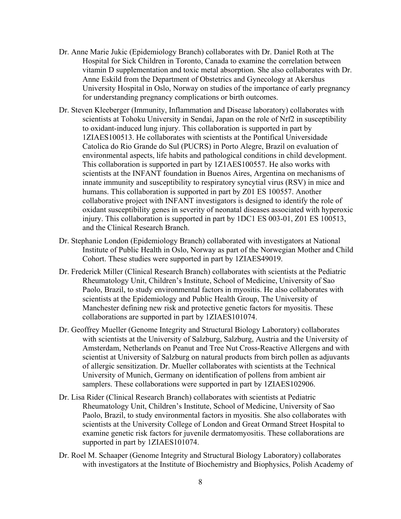- Dr. Anne Marie Jukic (Epidemiology Branch) collaborates with Dr. Daniel Roth at The Hospital for Sick Children in Toronto, Canada to examine the correlation between vitamin D supplementation and toxic metal absorption. She also collaborates with Dr. Anne Eskild from the Department of Obstetrics and Gynecology at Akershus University Hospital in Oslo, Norway on studies of the importance of early pregnancy for understanding pregnancy complications or birth outcomes.
- Dr. Steven Kleeberger (Immunity, Inflammation and Disease laboratory) collaborates with scientists at Tohoku University in Sendai, Japan on the role of Nrf2 in susceptibility to oxidant-induced lung injury. This collaboration is supported in part by 1ZIAES100513. He collaborates with scientists at the Pontifical Universidade Catolica do Rio Grande do Sul (PUCRS) in Porto Alegre, Brazil on evaluation of environmental aspects, life habits and pathological conditions in child development. This collaboration is supported in part by 1Z1AES100557. He also works with scientists at the INFANT foundation in Buenos Aires, Argentina on mechanisms of innate immunity and susceptibility to respiratory syncytial virus (RSV) in mice and humans. This collaboration is supported in part by Z01 ES 100557. Another collaborative project with INFANT investigators is designed to identify the role of oxidant susceptibility genes in severity of neonatal diseases associated with hyperoxic injury. This collaboration is supported in part by 1DC1 ES 003-01, Z01 ES 100513, and the Clinical Research Branch.
- Dr. Stephanie London (Epidemiology Branch) collaborated with investigators at National Institute of Public Health in Oslo, Norway as part of the Norwegian Mother and Child Cohort. These studies were supported in part by 1ZIAES49019.
- Dr. Frederick Miller (Clinical Research Branch) collaborates with scientists at the Pediatric Rheumatology Unit, Children's Institute, School of Medicine, University of Sao Paolo, Brazil, to study environmental factors in myositis. He also collaborates with scientists at the Epidemiology and Public Health Group, The University of Manchester defining new risk and protective genetic factors for myositis. These collaborations are supported in part by 1ZIAES101074.
- Dr. Geoffrey Mueller (Genome Integrity and Structural Biology Laboratory) collaborates with scientists at the University of Salzburg, Salzburg, Austria and the University of Amsterdam, Netherlands on Peanut and Tree Nut Cross-Reactive Allergens and with scientist at University of Salzburg on natural products from birch pollen as adjuvants of allergic sensitization. Dr. Mueller collaborates with scientists at the Technical University of Munich, Germany on identification of pollens from ambient air samplers. These collaborations were supported in part by 1ZIAES102906.
- Dr. Lisa Rider (Clinical Research Branch) collaborates with scientists at Pediatric Rheumatology Unit, Children's Institute, School of Medicine, University of Sao Paolo, Brazil, to study environmental factors in myositis. She also collaborates with scientists at the University College of London and Great Ormand Street Hospital to examine genetic risk factors for juvenile dermatomyositis. These collaborations are supported in part by 1ZIAES101074.
- Dr. Roel M. Schaaper (Genome Integrity and Structural Biology Laboratory) collaborates with investigators at the Institute of Biochemistry and Biophysics, Polish Academy of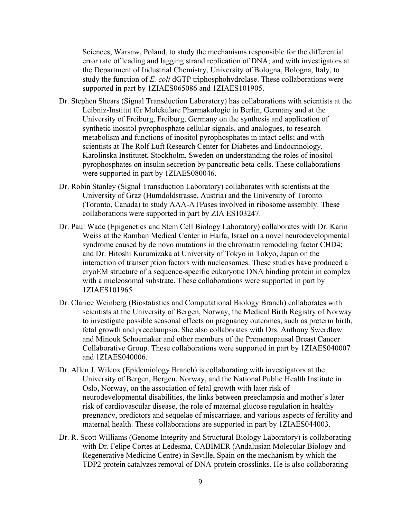Sciences, Warsaw, Poland, to study the mechanisms responsible for the differential error rate of leading and lagging strand replication of DNA; and with investigators at the Department of Industrial Chemistry, University of Bologna, Bologna, Italy, to study the function of *E. coli* dGTP triphosphohydrolase. These collaborations were supported in part by 1ZIAES065086 and 1ZIAES101905.

- Dr. Stephen Shears (Signal Transduction Laboratory) has collaborations with scientists at the Leibniz-Institut für Molekulare Pharmakologie in Berlin, Germany and at the University of Freiburg, Freiburg, Germany on the synthesis and application of synthetic inositol pyrophosphate cellular signals, and analogues, to research metabolism and functions of inositol pyrophosphates in intact cells; and with scientists at The Rolf Luft Research Center for Diabetes and Endocrinology, Karolinska Institutet, Stockholm, Sweden on understanding the roles of inositol pyrophosphates on insulin secretion by pancreatic beta-cells. These collaborations were supported in part by 1ZIAES080046.
- Dr. Robin Stanley (Signal Transduction Laboratory) collaborates with scientists at the University of Graz (Humdoldstrasse, Austria) and the University of Toronto (Toronto, Canada) to study AAA-ATPases involved in ribosome assembly. These collaborations were supported in part by ZIA ES103247.
- Dr. Paul Wade (Epigenetics and Stem Cell Biology Laboratory) collaborates with Dr. Karin Weiss at the Ramban Medical Center in Haifa, Israel on a novel neurodevelopmental syndrome caused by de novo mutations in the chromatin remodeling factor CHD4; and Dr. Hitoshi Kurumizaka at University of Tokyo in Tokyo, Japan on the interaction of transcription factors with nucleosomes. These studies have produced a cryoEM structure of a sequence-specific eukaryotic DNA binding protein in complex with a nucleosomal substrate. These collaborations were supported in part by 1ZIAES101965.
- Dr. Clarice Weinberg (Biostatistics and Computational Biology Branch) collaborates with scientists at the University of Bergen, Norway, the Medical Birth Registry of Norway to investigate possible seasonal effects on pregnancy outcomes, such as preterm birth, fetal growth and preeclampsia. She also collaborates with Drs. Anthony Swerdlow and Minouk Schoemaker and other members of the Premenopausal Breast Cancer Collaborative Group. These collaborations were supported in part by 1ZIAES040007 and 1ZIAES040006.
- Dr. Allen J. Wilcox (Epidemiology Branch) is collaborating with investigators at the University of Bergen, Bergen, Norway, and the National Public Health Institute in Oslo, Norway, on the association of fetal growth with later risk of neurodevelopmental disabilities, the links between preeclampsia and mother's later risk of cardiovascular disease, the role of maternal glucose regulation in healthy pregnancy, predictors and sequelae of miscarriage, and various aspects of fertility and maternal health. These collaborations are supported in part by 1ZIAES044003.
- Dr. R. Scott Williams (Genome Integrity and Structural Biology Laboratory) is collaborating with Dr. Felipe Cortes at Ledesma, CABIMER (Andalusian Molecular Biology and Regenerative Medicine Centre) in Seville, Spain on the mechanism by which the TDP2 protein catalyzes removal of DNA-protein crosslinks. He is also collaborating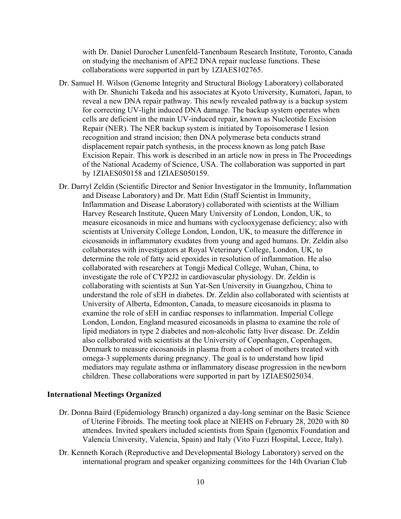with Dr. Daniel Durocher Lunenfeld-Tanenbaum Research Institute, Toronto, Canada on studying the mechanism of APE2 DNA repair nuclease functions. These collaborations were supported in part by 1ZIAES102765.

- Dr. Samuel H. Wilson (Genome Integrity and Structural Biology Laboratory) collaborated with Dr. Shunichi Takeda and his associates at Kyoto University, Kumatori, Japan, to reveal a new DNA repair pathway. This newly revealed pathway is a backup system for correcting UV-light induced DNA damage. The backup system operates when cells are deficient in the main UV-induced repair, known as Nucleotide Excision Repair (NER). The NER backup system is initiated by Topoisomerase I lesion recognition and strand incision; then DNA polymerase beta conducts strand displacement repair patch synthesis, in the process known as long patch Base Excision Repair. This work is described in an article now in press in The Proceedings of the National Academy of Science, USA. The collaboration was supported in part by 1ZIAES050158 and 1ZIAES050159.
- Dr. Darryl Zeldin (Scientific Director and Senior Investigator in the Immunity, Inflammation and Disease Laboratory) and Dr. Matt Edin (Staff Scientist in Immunity, Inflammation and Disease Laboratory) collaborated with scientists at the William Harvey Research Institute, Queen Mary University of London, London, UK, to measure eicosanoids in mice and humans with cyclooxygenase deficiency; also with scientists at University College London, London, UK, to measure the difference in eicosanoids in inflammatory exudates from young and aged humans. Dr. Zeldin also collaborates with investigators at Royal Veterinary College, London, UK, to determine the role of fatty acid epoxides in resolution of inflammation. He also collaborated with researchers at Tongji Medical College, Wuhan, China, to investigate the role of CYP2J2 in cardiovascular physiology. Dr. Zeldin is collaborating with scientists at Sun Yat-Sen University in Guangzhou, China to understand the role of sEH in diabetes. Dr. Zeldin also collaborated with scientists at University of Alberta, Edmonton, Canada, to measure eicosanoids in plasma to examine the role of sEH in cardiac responses to inflammation. Imperial College London, London, England measured eicosanoids in plasma to examine the role of lipid mediators in type 2 diabetes and non-alcoholic fatty liver disease. Dr. Zeldin also collaborated with scientists at the University of Copenhagen, Copenhagen, Denmark to measure eicosanoids in plasma from a cohort of mothers treated with omega-3 supplements during pregnancy. The goal is to understand how lipid mediators may regulate asthma or inflammatory disease progression in the newborn children. These collaborations were supported in part by 1ZIAES025034.

#### **International Meetings Organized**

- Dr. Donna Baird (Epidemiology Branch) organized a day-long seminar on the Basic Science of Uterine Fibroids. The meeting took place at NIEHS on February 28, 2020 with 80 attendees. Invited speakers included scientists from Spain (Igenomix Foundation and Valencia University, Valencia, Spain) and Italy (Vito Fuzzi Hospital, Lecce, Italy).
- Dr. Kenneth Korach (Reproductive and Developmental Biology Laboratory) served on the international program and speaker organizing committees for the 14th Ovarian Club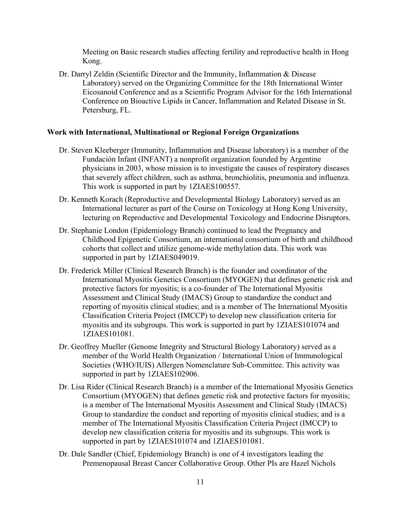Meeting on Basic research studies affecting fertility and reproductive health in Hong Kong.

Dr. Darryl Zeldin (Scientific Director and the Immunity, Inflammation & Disease Laboratory) served on the Organizing Committee for the 18th International Winter Eicosanoid Conference and as a Scientific Program Advisor for the 16th International Conference on Bioactive Lipids in Cancer, Inflammation and Related Disease in St. Petersburg, FL.

#### **Work with International, Multinational or Regional Foreign Organizations**

- Dr. Steven Kleeberger (Immunity, Inflammation and Disease laboratory) is a member of the Fundación Infant (INFANT) a nonprofit organization founded by Argentine physicians in 2003, whose mission is to investigate the causes of respiratory diseases that severely affect children, such as asthma, bronchiolitis, pneumonia and influenza. This work is supported in part by 1ZIAES100557.
- Dr. Kenneth Korach (Reproductive and Developmental Biology Laboratory) served as an International lecturer as part of the Course on Toxicology at Hong Kong University, lecturing on Reproductive and Developmental Toxicology and Endocrine Disruptors.
- Dr. Stephanie London (Epidemiology Branch) continued to lead the Pregnancy and Childhood Epigenetic Consortium, an international consortium of birth and childhood cohorts that collect and utilize genome-wide methylation data. This work was supported in part by 1ZIAES049019.
- Dr. Frederick Miller (Clinical Research Branch) is the founder and coordinator of the International Myositis Genetics Consortium (MYOGEN) that defines genetic risk and protective factors for myositis; is a co-founder of The International Myositis Assessment and Clinical Study (IMACS) Group to standardize the conduct and reporting of myositis clinical studies; and is a member of The International Myositis Classification Criteria Project (IMCCP) to develop new classification criteria for myositis and its subgroups. This work is supported in part by 1ZIAES101074 and 1ZIAES101081.
- Dr. Geoffrey Mueller (Genome Integrity and Structural Biology Laboratory) served as a member of the World Health Organization / International Union of Immunological Societies (WHO/IUIS) Allergen Nomenclature Sub-Committee. This activity was supported in part by 1ZIAES102906.
- Dr. Lisa Rider (Clinical Research Branch) is a member of the International Myositis Genetics Consortium (MYOGEN) that defines genetic risk and protective factors for myositis; is a member of The International Myositis Assessment and Clinical Study (IMACS) Group to standardize the conduct and reporting of myositis clinical studies; and is a member of The International Myositis Classification Criteria Project (IMCCP) to develop new classification criteria for myositis and its subgroups. This work is supported in part by 1ZIAES101074 and 1ZIAES101081.
- Dr. Dale Sandler (Chief, Epidemiology Branch) is one of 4 investigators leading the Premenopausal Breast Cancer Collaborative Group. Other PIs are Hazel Nichols